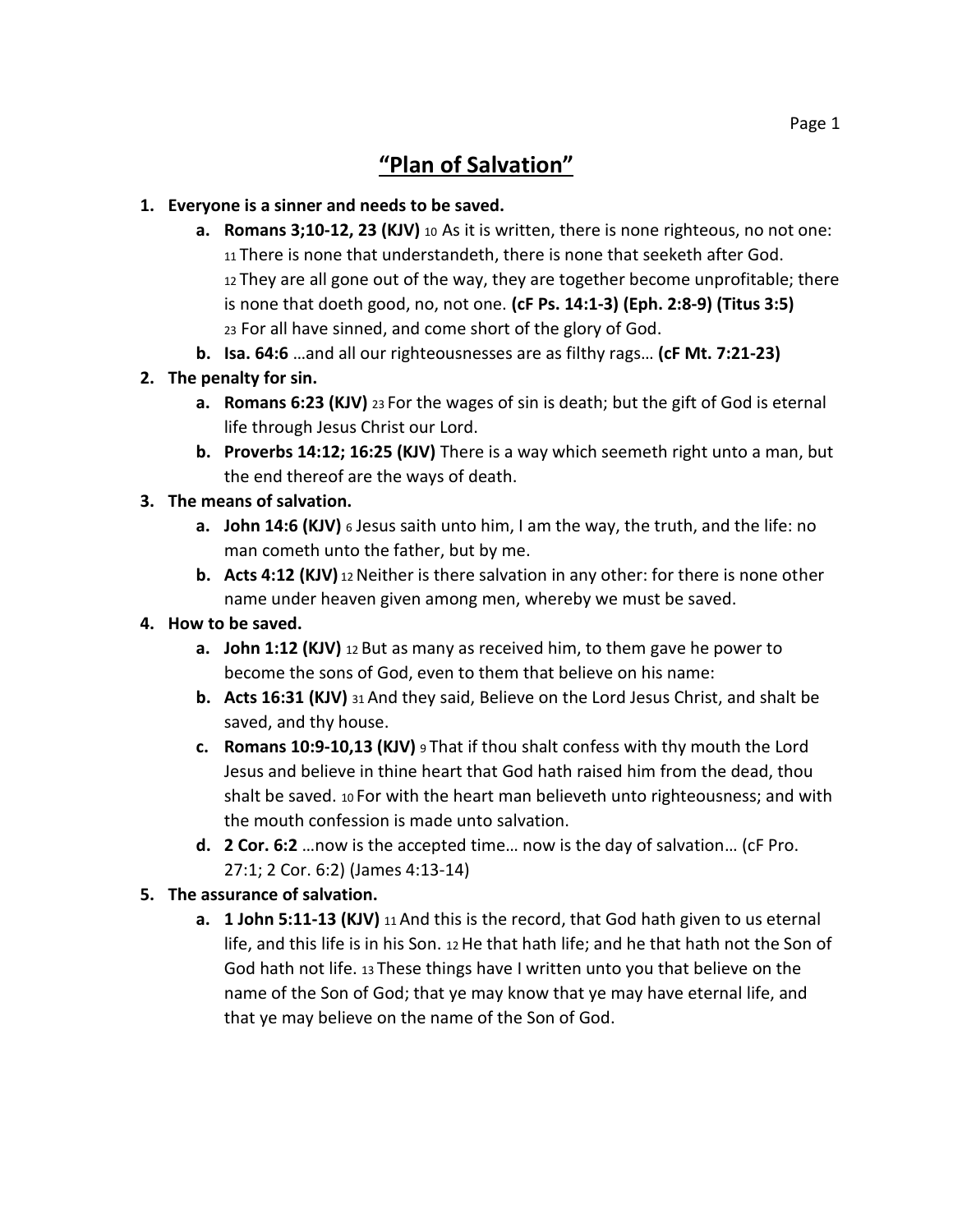### **1. Everyone is a sinner and needs to be saved.**

- **a. Romans 3;10-12, 23 (KJV)** <sup>10</sup> As it is written, there is none righteous, no not one: <sup>11</sup> There is none that understandeth, there is none that seeketh after God. <sup>12</sup> They are all gone out of the way, they are together become unprofitable; there is none that doeth good, no, not one. **(cF Ps. 14:1-3) (Eph. 2:8-9) (Titus 3:5)** <sup>23</sup> For all have sinned, and come short of the glory of God.
- **b. Isa. 64:6** …and all our righteousnesses are as filthy rags… **(cF Mt. 7:21-23)**

### **2. The penalty for sin.**

- **a. Romans 6:23 (KJV)** 23 For the wages of sin is death; but the gift of God is eternal life through Jesus Christ our Lord.
- **b. Proverbs 14:12; 16:25 (KJV)** There is a way which seemeth right unto a man, but the end thereof are the ways of death.

### **3. The means of salvation.**

- **a. John 14:6 (KJV)** <sup>6</sup> Jesus saith unto him, I am the way, the truth, and the life: no man cometh unto the father, but by me.
- **b.** Acts 4:12 (KJV) 12 Neither is there salvation in any other: for there is none other name under heaven given among men, whereby we must be saved.

### **4. How to be saved.**

- **a. John 1:12 (KJV)** 12 But as many as received him, to them gave he power to become the sons of God, even to them that believe on his name:
- **b. Acts 16:31 (KJV)** 31 And they said, Believe on the Lord Jesus Christ, and shalt be saved, and thy house.
- **c. Romans 10:9-10,13 (KJV)** 9 That if thou shalt confess with thy mouth the Lord Jesus and believe in thine heart that God hath raised him from the dead, thou shalt be saved. <sup>10</sup> For with the heart man believeth unto righteousness; and with the mouth confession is made unto salvation.
- **d. 2 Cor. 6:2** …now is the accepted time… now is the day of salvation… (cF Pro. 27:1; 2 Cor. 6:2) (James 4:13-14)

### **5. The assurance of salvation.**

**a. 1 John 5:11-13 (KJV)** 11 And this is the record, that God hath given to us eternal life, and this life is in his Son.  $12$  He that hath life; and he that hath not the Son of God hath not life. 13 These things have I written unto you that believe on the name of the Son of God; that ye may know that ye may have eternal life, and that ye may believe on the name of the Son of God.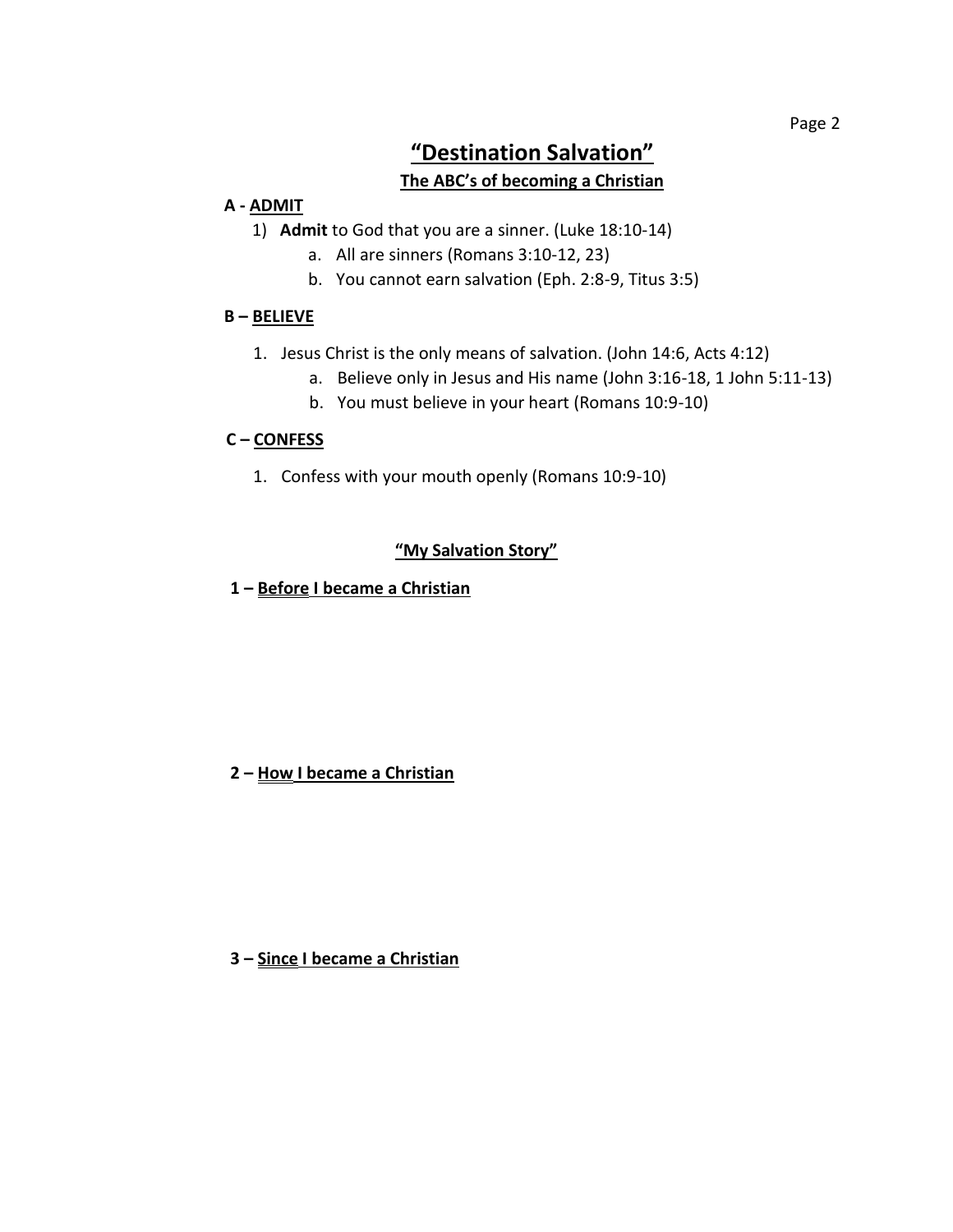# **"Destination Salvation"**

#### **The ABC's of becoming a Christian**

#### **A - ADMIT**

- 1) **Admit** to God that you are a sinner. (Luke 18:10-14)
	- a. All are sinners (Romans 3:10-12, 23)
	- b. You cannot earn salvation (Eph. 2:8-9, Titus 3:5)

#### **B – BELIEVE**

- 1. Jesus Christ is the only means of salvation. (John 14:6, Acts 4:12)
	- a. Believe only in Jesus and His name (John 3:16-18, 1 John 5:11-13)
	- b. You must believe in your heart (Romans 10:9-10)

#### **C – CONFESS**

1. Confess with your mouth openly (Romans 10:9-10)

#### **"My Salvation Story"**

**1 – Before I became a Christian**

#### **2 – How I became a Christian**

 **3 – Since I became a Christian**

Page 2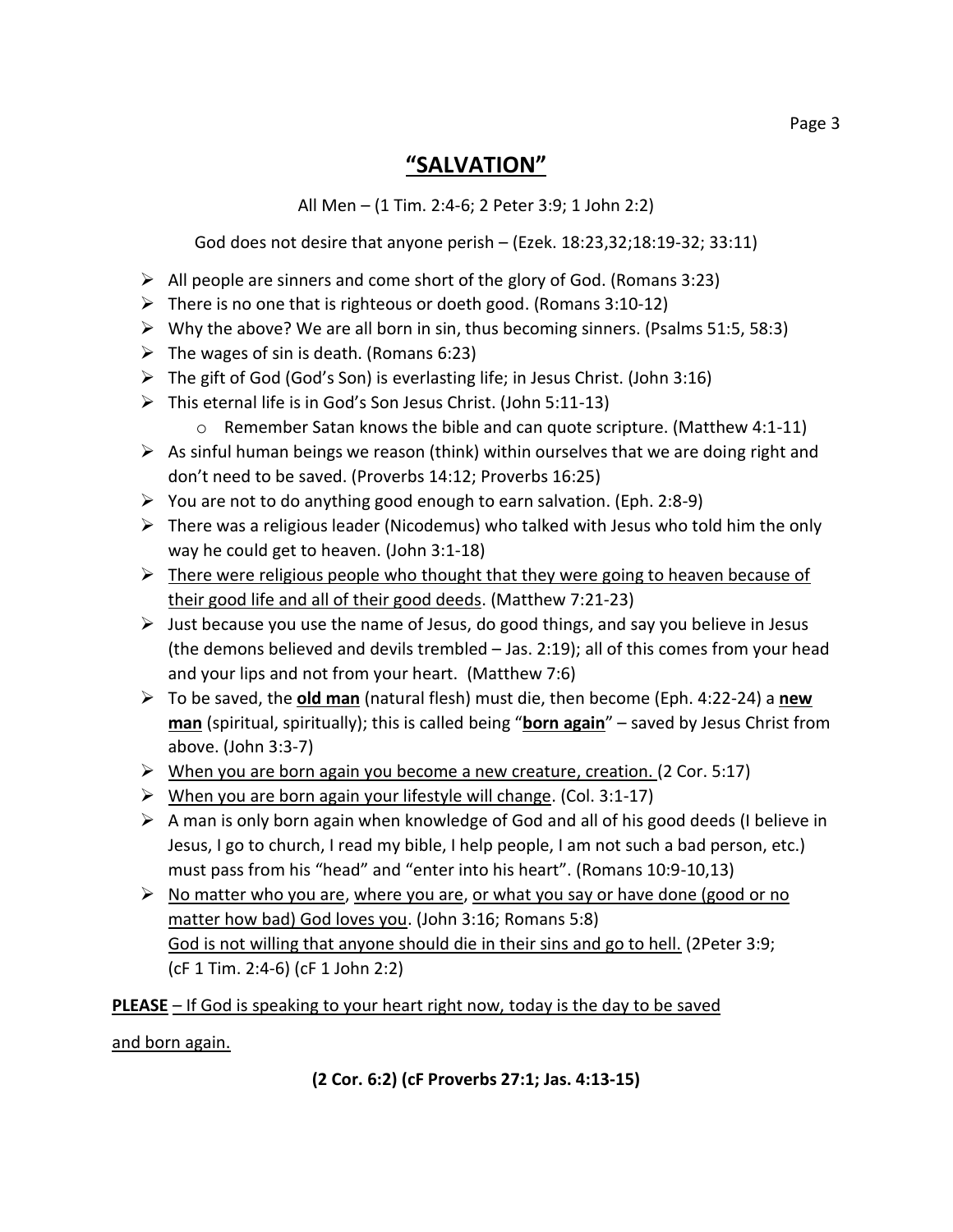## **"SALVATION"**

All Men – (1 Tim. 2:4-6; 2 Peter 3:9; 1 John 2:2)

God does not desire that anyone perish – (Ezek. 18:23,32;18:19-32; 33:11)

- $\triangleright$  All people are sinners and come short of the glory of God. (Romans 3:23)
- $\triangleright$  There is no one that is righteous or doeth good. (Romans 3:10-12)
- $\triangleright$  Why the above? We are all born in sin, thus becoming sinners. (Psalms 51:5, 58:3)
- $\triangleright$  The wages of sin is death. (Romans 6:23)
- $\triangleright$  The gift of God (God's Son) is everlasting life; in Jesus Christ. (John 3:16)
- This eternal life is in God's Son Jesus Christ. (John 5:11-13)
	- o Remember Satan knows the bible and can quote scripture. (Matthew 4:1-11)
- $\triangleright$  As sinful human beings we reason (think) within ourselves that we are doing right and don't need to be saved. (Proverbs 14:12; Proverbs 16:25)
- $\triangleright$  You are not to do anything good enough to earn salvation. (Eph. 2:8-9)
- $\triangleright$  There was a religious leader (Nicodemus) who talked with Jesus who told him the only way he could get to heaven. (John 3:1-18)
- $\triangleright$  There were religious people who thought that they were going to heaven because of their good life and all of their good deeds. (Matthew 7:21-23)
- $\triangleright$  Just because you use the name of Jesus, do good things, and say you believe in Jesus (the demons believed and devils trembled – Jas. 2:19); all of this comes from your head and your lips and not from your heart. (Matthew 7:6)
- To be saved, the **old man** (natural flesh) must die, then become (Eph. 4:22-24) a **new man** (spiritual, spiritually); this is called being "**born again**" – saved by Jesus Christ from above. (John 3:3-7)
- $\triangleright$  When you are born again you become a new creature, creation. (2 Cor. 5:17)
- $\triangleright$  When you are born again your lifestyle will change. (Col. 3:1-17)
- $\triangleright$  A man is only born again when knowledge of God and all of his good deeds (I believe in Jesus, I go to church, I read my bible, I help people, I am not such a bad person, etc.) must pass from his "head" and "enter into his heart". (Romans 10:9-10,13)
- $\triangleright$  No matter who you are, where you are, or what you say or have done (good or no matter how bad) God loves you. (John 3:16; Romans 5:8) God is not willing that anyone should die in their sins and go to hell. (2Peter 3:9; (cF 1 Tim. 2:4-6) (cF 1 John 2:2)

### **PLEASE** – If God is speaking to your heart right now, today is the day to be saved

### and born again.

**(2 Cor. 6:2) (cF Proverbs 27:1; Jas. 4:13-15)**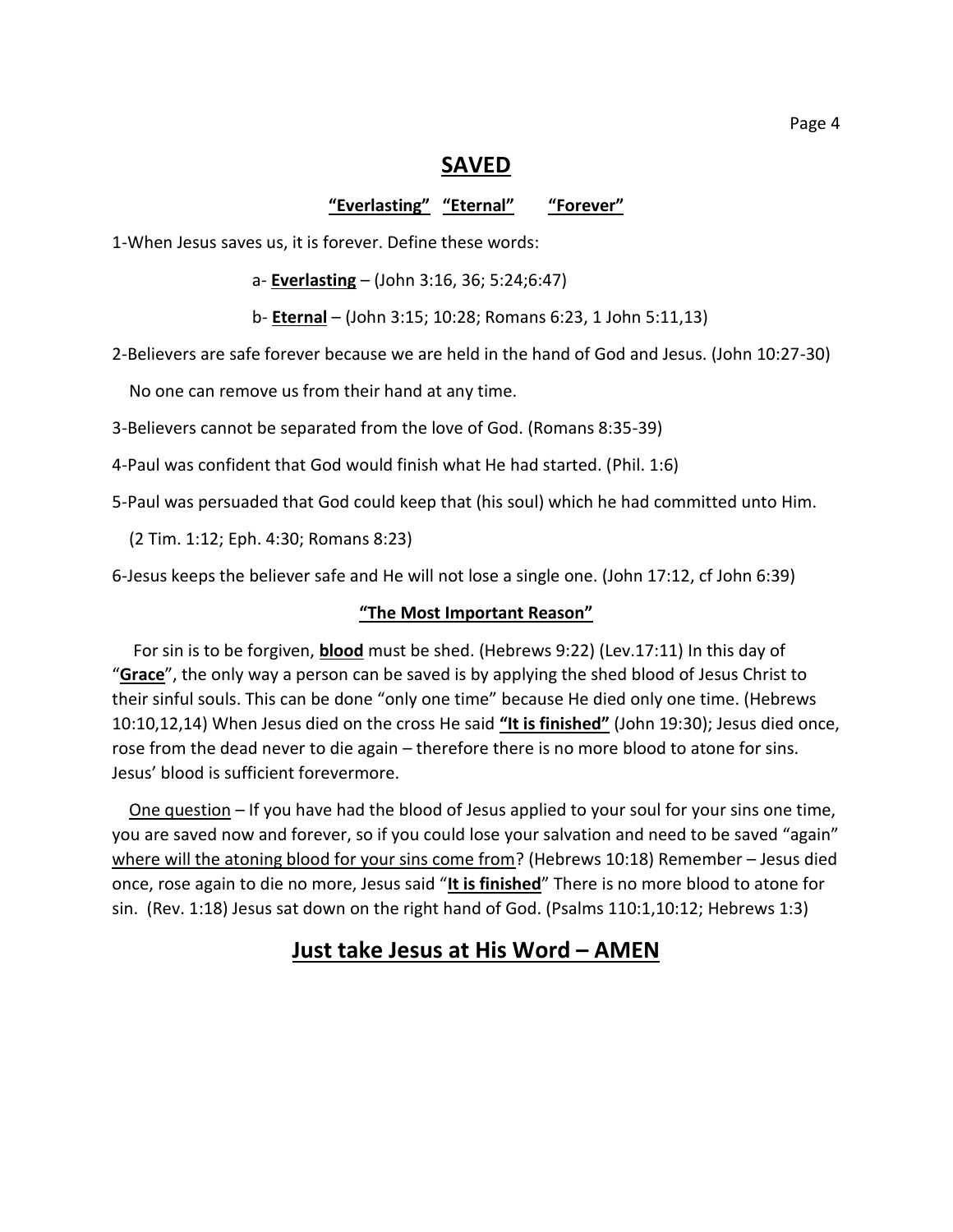### **SAVED**

**"Everlasting" "Eternal" "Forever"**

1-When Jesus saves us, it is forever. Define these words:

a- **Everlasting** – (John 3:16, 36; 5:24;6:47)

b- **Eternal** – (John 3:15; 10:28; Romans 6:23, 1 John 5:11,13)

2-Believers are safe forever because we are held in the hand of God and Jesus. (John 10:27-30)

No one can remove us from their hand at any time.

3-Believers cannot be separated from the love of God. (Romans 8:35-39)

4-Paul was confident that God would finish what He had started. (Phil. 1:6)

5-Paul was persuaded that God could keep that (his soul) which he had committed unto Him.

(2 Tim. 1:12; Eph. 4:30; Romans 8:23)

6-Jesus keeps the believer safe and He will not lose a single one. (John 17:12, cf John 6:39)

#### **"The Most Important Reason"**

 For sin is to be forgiven, **blood** must be shed. (Hebrews 9:22) (Lev.17:11) In this day of "**Grace**", the only way a person can be saved is by applying the shed blood of Jesus Christ to their sinful souls. This can be done "only one time" because He died only one time. (Hebrews 10:10,12,14) When Jesus died on the cross He said **"It is finished"** (John 19:30); Jesus died once, rose from the dead never to die again – therefore there is no more blood to atone for sins. Jesus' blood is sufficient forevermore.

 One question – If you have had the blood of Jesus applied to your soul for your sins one time, you are saved now and forever, so if you could lose your salvation and need to be saved "again" where will the atoning blood for your sins come from? (Hebrews 10:18) Remember - Jesus died once, rose again to die no more, Jesus said "**It is finished**" There is no more blood to atone for sin. (Rev. 1:18) Jesus sat down on the right hand of God. (Psalms 110:1,10:12; Hebrews 1:3)

### **Just take Jesus at His Word – AMEN**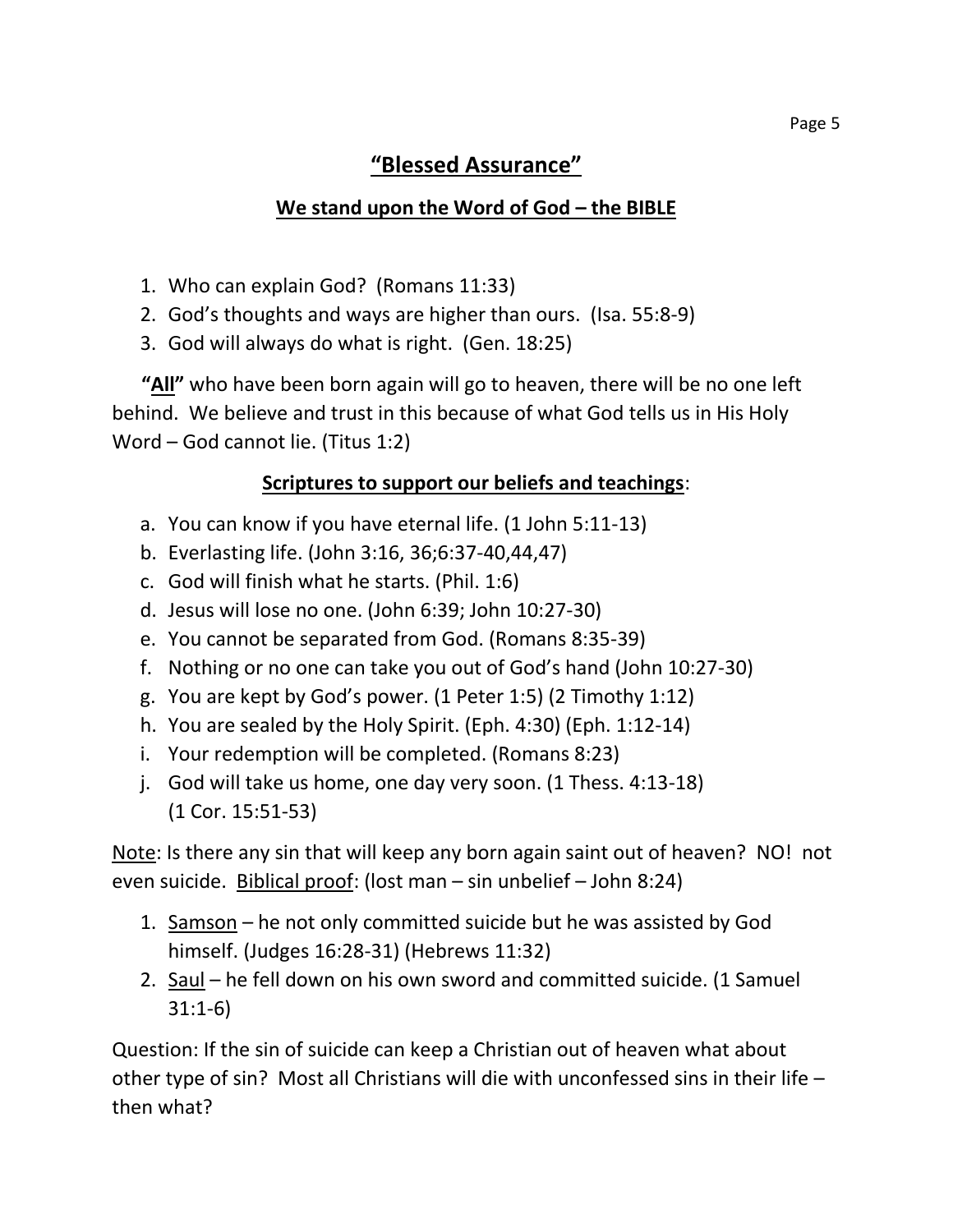# **"Blessed Assurance"**

## **We stand upon the Word of God – the BIBLE**

- 1. Who can explain God? (Romans 11:33)
- 2. God's thoughts and ways are higher than ours. (Isa. 55:8-9)
- 3. God will always do what is right. (Gen. 18:25)

 **"All"** who have been born again will go to heaven, there will be no one left behind. We believe and trust in this because of what God tells us in His Holy Word – God cannot lie. (Titus 1:2)

### **Scriptures to support our beliefs and teachings**:

- a. You can know if you have eternal life. (1 John 5:11-13)
- b. Everlasting life. (John 3:16, 36;6:37-40,44,47)
- c. God will finish what he starts. (Phil. 1:6)
- d. Jesus will lose no one. (John 6:39; John 10:27-30)
- e. You cannot be separated from God. (Romans 8:35-39)
- f. Nothing or no one can take you out of God's hand (John 10:27-30)
- g. You are kept by God's power. (1 Peter 1:5) (2 Timothy 1:12)
- h. You are sealed by the Holy Spirit. (Eph. 4:30) (Eph. 1:12-14)
- i. Your redemption will be completed. (Romans 8:23)
- j. God will take us home, one day very soon. (1 Thess. 4:13-18) (1 Cor. 15:51-53)

Note: Is there any sin that will keep any born again saint out of heaven? NO! not even suicide. Biblical proof: (lost man – sin unbelief – John 8:24)

- 1. Samson he not only committed suicide but he was assisted by God himself. (Judges 16:28-31) (Hebrews 11:32)
- 2. Saul he fell down on his own sword and committed suicide. (1 Samuel 31:1-6)

Question: If the sin of suicide can keep a Christian out of heaven what about other type of sin? Most all Christians will die with unconfessed sins in their life – then what?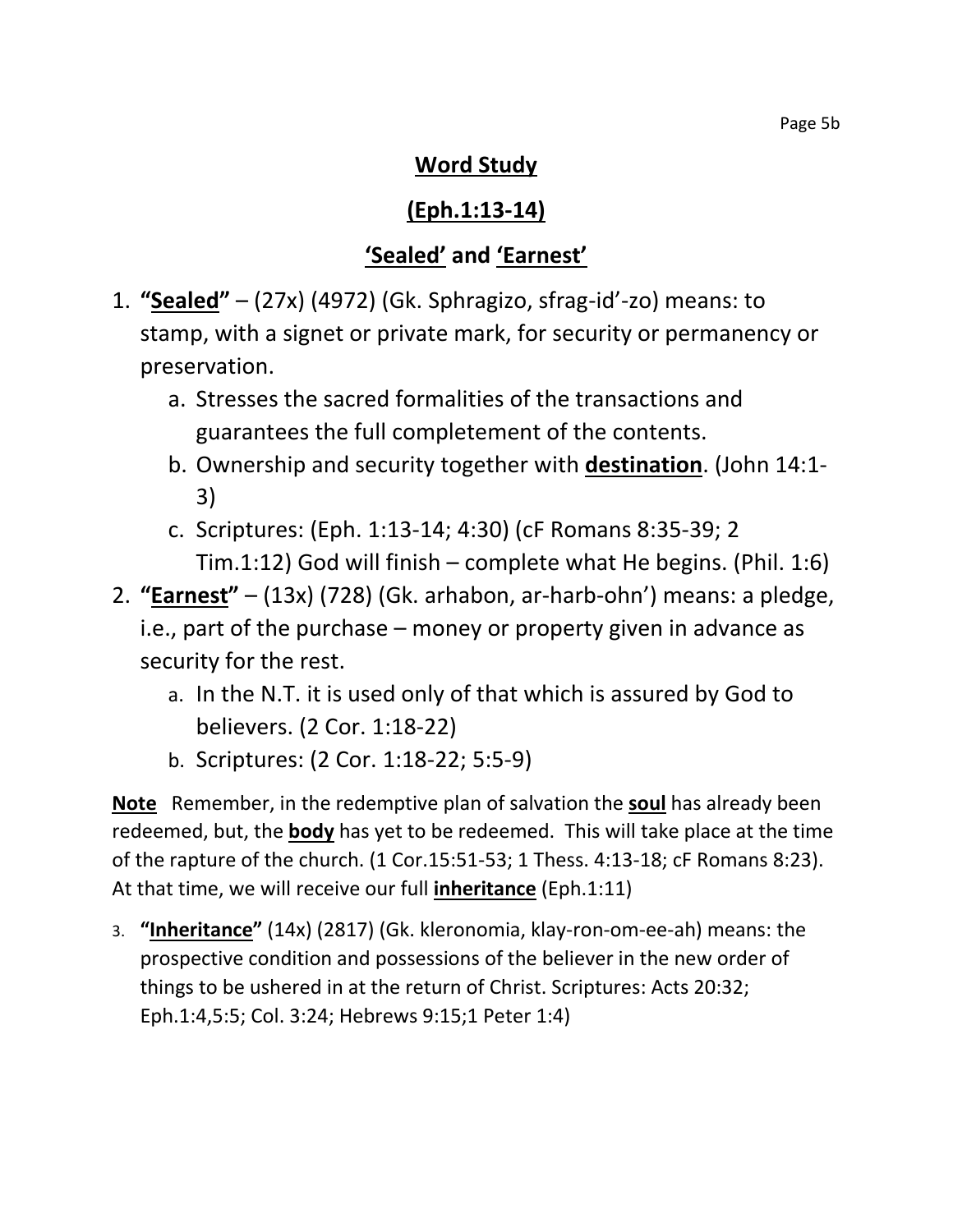# **Word Study**

# **(Eph.1:13-14)**

# **'Sealed' and 'Earnest'**

- 1. **"Sealed"** (27x) (4972) (Gk. Sphragizo, sfrag-id'-zo) means: to stamp, with a signet or private mark, for security or permanency or preservation.
	- a. Stresses the sacred formalities of the transactions and guarantees the full completement of the contents.
	- b. Ownership and security together with **destination**. (John 14:1- 3)
	- c. Scriptures: (Eph. 1:13-14; 4:30) (cF Romans 8:35-39; 2 Tim.1:12) God will finish – complete what He begins. (Phil. 1:6)
- 2. **"Earnest"** (13x) (728) (Gk. arhabon, ar-harb-ohn') means: a pledge, i.e., part of the purchase – money or property given in advance as security for the rest.
	- a. In the N.T. it is used only of that which is assured by God to believers. (2 Cor. 1:18-22)
	- b. Scriptures: (2 Cor. 1:18-22; 5:5-9)

**Note** Remember, in the redemptive plan of salvation the **soul** has already been redeemed, but, the **body** has yet to be redeemed. This will take place at the time of the rapture of the church. (1 Cor.15:51-53; 1 Thess. 4:13-18; cF Romans 8:23). At that time, we will receive our full **inheritance** (Eph.1:11)

3. **"Inheritance"** (14x) (2817) (Gk. kleronomia, klay-ron-om-ee-ah) means: the prospective condition and possessions of the believer in the new order of things to be ushered in at the return of Christ. Scriptures: Acts 20:32; Eph.1:4,5:5; Col. 3:24; Hebrews 9:15;1 Peter 1:4)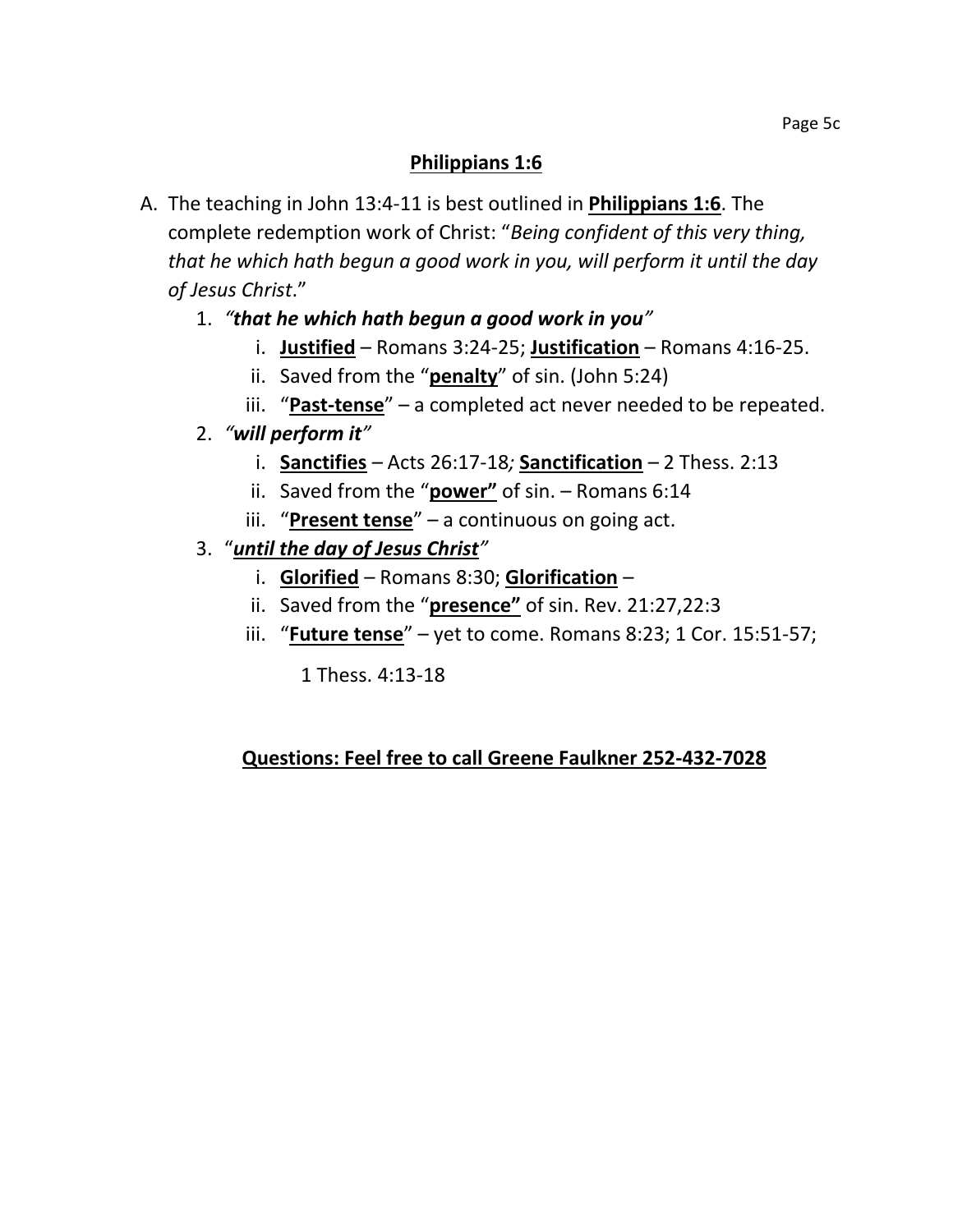### **Philippians 1:6**

- A. The teaching in John 13:4-11 is best outlined in **Philippians 1:6**. The complete redemption work of Christ: "*Being confident of this very thing, that he which hath begun a good work in you, will perform it until the day of Jesus Christ*."
	- 1. *"that he which hath begun a good work in you"*
		- i. **Justified** Romans 3:24-25; **Justification** Romans 4:16-25.
		- ii. Saved from the "**penalty**" of sin. (John 5:24)
		- iii. "**Past-tense**" a completed act never needed to be repeated.

### 2. *"will perform it"*

- i. **Sanctifies** *–* Acts 26:17-18*;* **Sanctification** *–* 2 Thess. 2:13
- ii. Saved from the "**power"** of sin. Romans 6:14
- iii. "**Present tense**" a continuous on going act.
- 3. "*until the day of Jesus Christ"*
	- i. **Glorified** Romans 8:30; **Glorification** –
	- ii. Saved from the "**presence"** of sin. Rev. 21:27,22:3
	- iii. "**Future tense**" yet to come. Romans 8:23; 1 Cor. 15:51-57;

1 Thess. 4:13-18

### **Questions: Feel free to call Greene Faulkner 252-432-7028**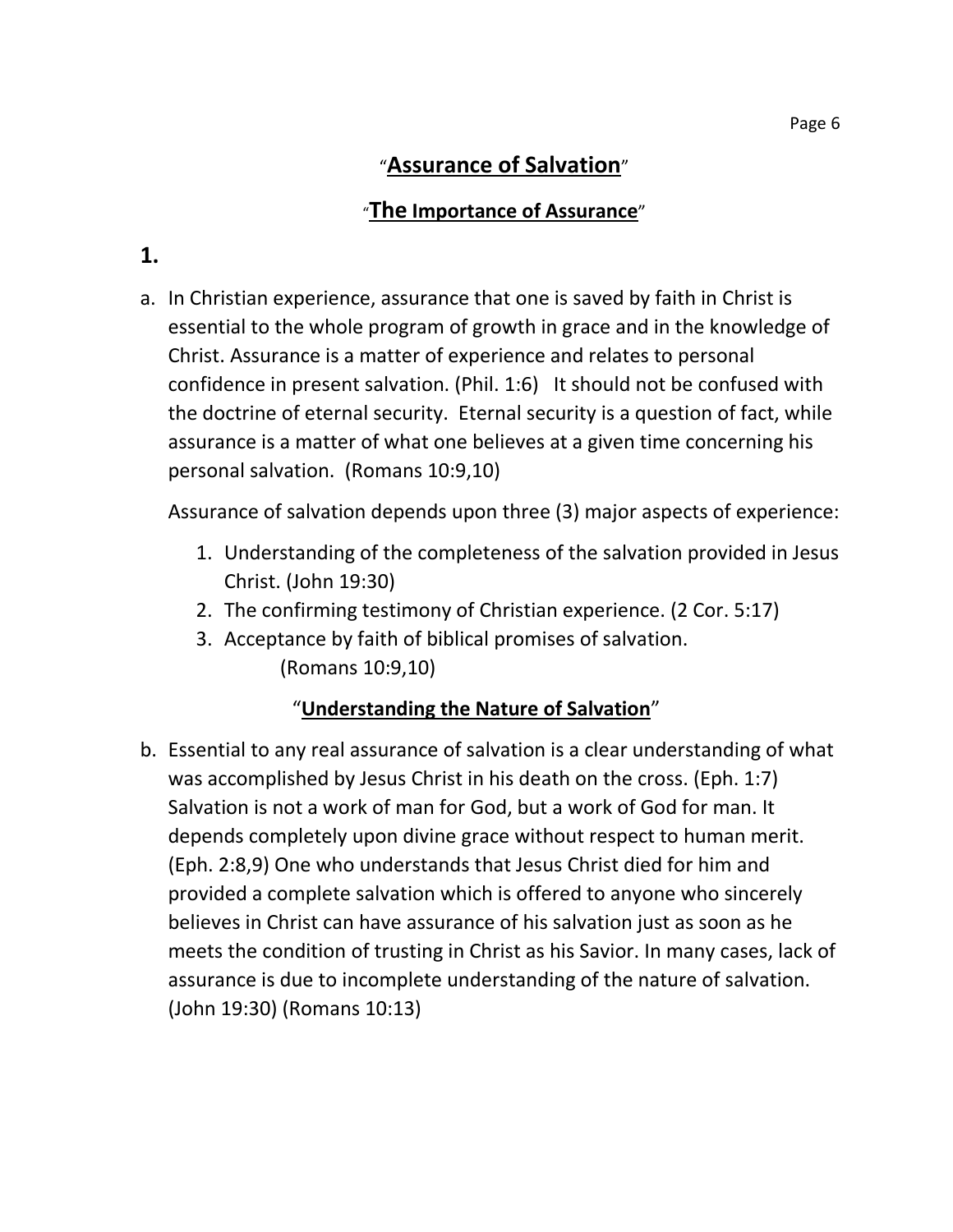# "**Assurance of Salvation**"

## "**The Importance of Assurance**"

# **1.**

a. In Christian experience, assurance that one is saved by faith in Christ is essential to the whole program of growth in grace and in the knowledge of Christ. Assurance is a matter of experience and relates to personal confidence in present salvation. (Phil. 1:6) It should not be confused with the doctrine of eternal security. Eternal security is a question of fact, while assurance is a matter of what one believes at a given time concerning his personal salvation. (Romans 10:9,10)

Assurance of salvation depends upon three (3) major aspects of experience:

- 1. Understanding of the completeness of the salvation provided in Jesus Christ. (John 19:30)
- 2. The confirming testimony of Christian experience. (2 Cor. 5:17)
- 3. Acceptance by faith of biblical promises of salvation. (Romans 10:9,10)

### "**Understanding the Nature of Salvation**"

b. Essential to any real assurance of salvation is a clear understanding of what was accomplished by Jesus Christ in his death on the cross. (Eph. 1:7) Salvation is not a work of man for God, but a work of God for man. It depends completely upon divine grace without respect to human merit. (Eph. 2:8,9) One who understands that Jesus Christ died for him and provided a complete salvation which is offered to anyone who sincerely believes in Christ can have assurance of his salvation just as soon as he meets the condition of trusting in Christ as his Savior. In many cases, lack of assurance is due to incomplete understanding of the nature of salvation. (John 19:30) (Romans 10:13)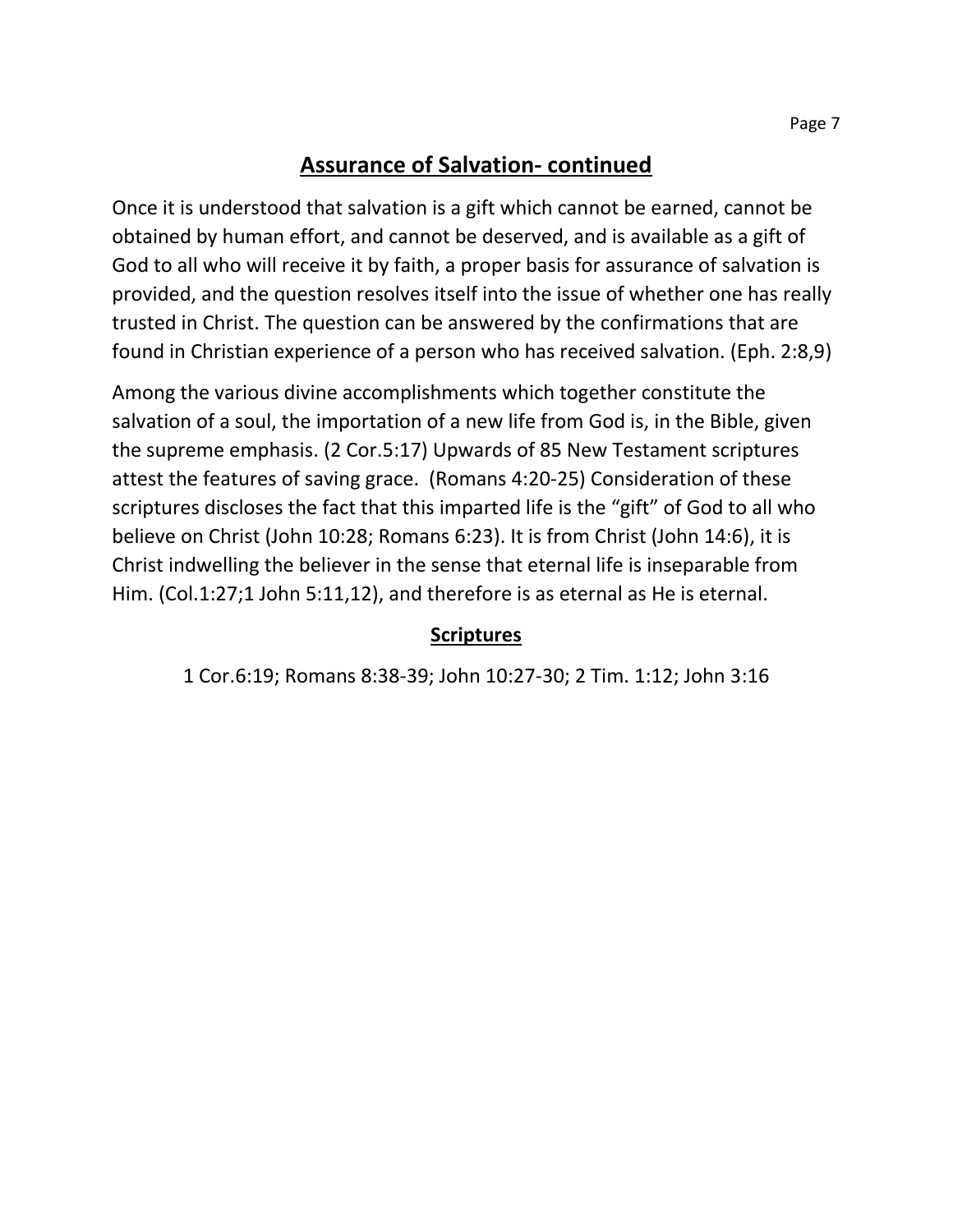### **Assurance of Salvation- continued**

Once it is understood that salvation is a gift which cannot be earned, cannot be obtained by human effort, and cannot be deserved, and is available as a gift of God to all who will receive it by faith, a proper basis for assurance of salvation is provided, and the question resolves itself into the issue of whether one has really trusted in Christ. The question can be answered by the confirmations that are found in Christian experience of a person who has received salvation. (Eph. 2:8,9)

Among the various divine accomplishments which together constitute the salvation of a soul, the importation of a new life from God is, in the Bible, given the supreme emphasis. (2 Cor.5:17) Upwards of 85 New Testament scriptures attest the features of saving grace. (Romans 4:20-25) Consideration of these scriptures discloses the fact that this imparted life is the "gift" of God to all who believe on Christ (John 10:28; Romans 6:23). It is from Christ (John 14:6), it is Christ indwelling the believer in the sense that eternal life is inseparable from Him. (Col.1:27;1 John 5:11,12), and therefore is as eternal as He is eternal.

### **Scriptures**

1 Cor.6:19; Romans 8:38-39; John 10:27-30; 2 Tim. 1:12; John 3:16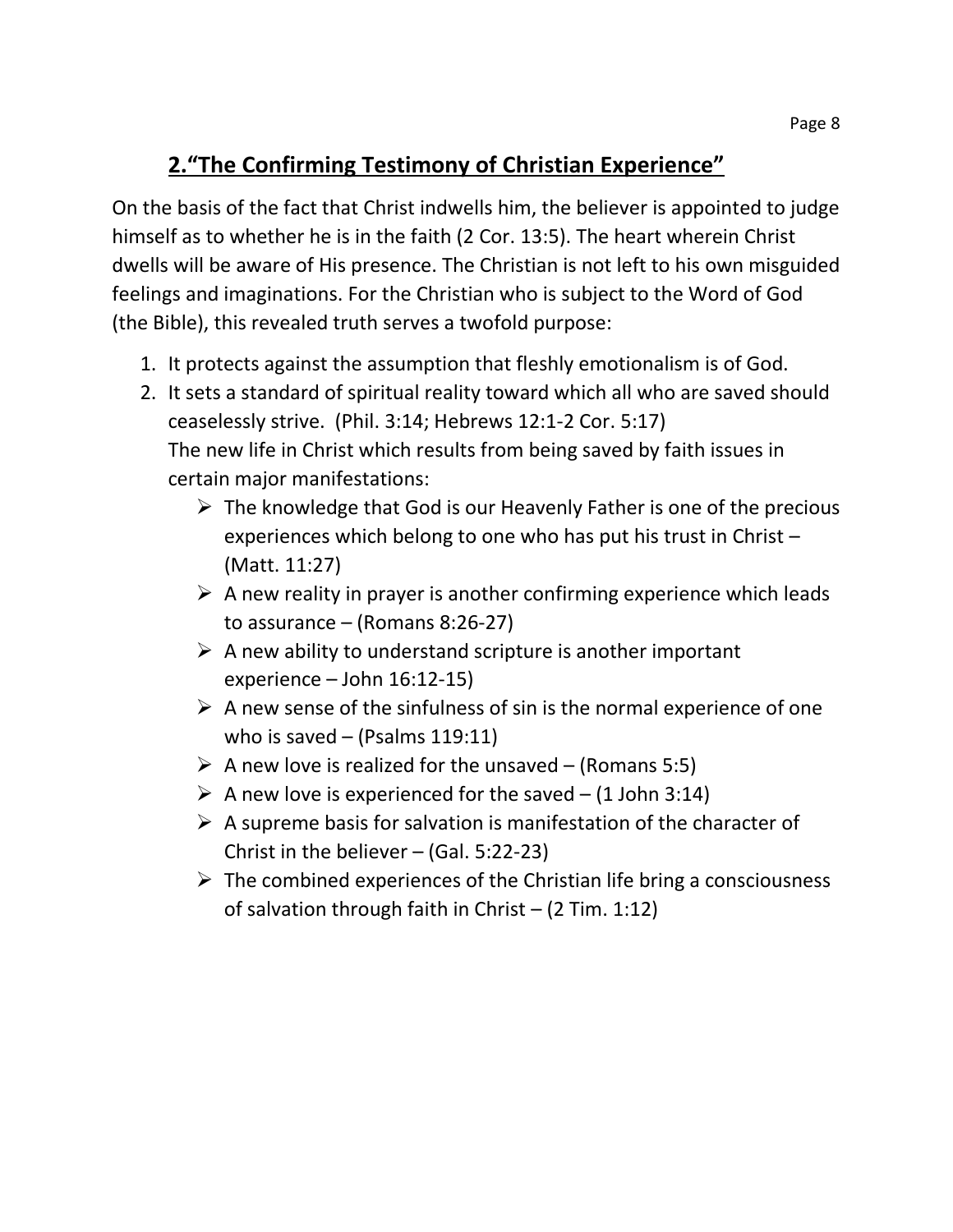# **2."The Confirming Testimony of Christian Experience"**

On the basis of the fact that Christ indwells him, the believer is appointed to judge himself as to whether he is in the faith (2 Cor. 13:5). The heart wherein Christ dwells will be aware of His presence. The Christian is not left to his own misguided feelings and imaginations. For the Christian who is subject to the Word of God (the Bible), this revealed truth serves a twofold purpose:

- 1. It protects against the assumption that fleshly emotionalism is of God.
- 2. It sets a standard of spiritual reality toward which all who are saved should ceaselessly strive. (Phil. 3:14; Hebrews 12:1-2 Cor. 5:17) The new life in Christ which results from being saved by faith issues in certain major manifestations:
	- $\triangleright$  The knowledge that God is our Heavenly Father is one of the precious experiences which belong to one who has put his trust in Christ – (Matt. 11:27)
	- $\triangleright$  A new reality in prayer is another confirming experience which leads to assurance – (Romans 8:26-27)
	- $\triangleright$  A new ability to understand scripture is another important experience – John 16:12-15)
	- $\triangleright$  A new sense of the sinfulness of sin is the normal experience of one who is saved  $-$  (Psalms 119:11)
	- $\triangleright$  A new love is realized for the unsaved (Romans 5:5)
	- $\triangleright$  A new love is experienced for the saved (1 John 3:14)
	- $\triangleright$  A supreme basis for salvation is manifestation of the character of Christ in the believer – (Gal. 5:22-23)
	- $\triangleright$  The combined experiences of the Christian life bring a consciousness of salvation through faith in Christ – (2 Tim. 1:12)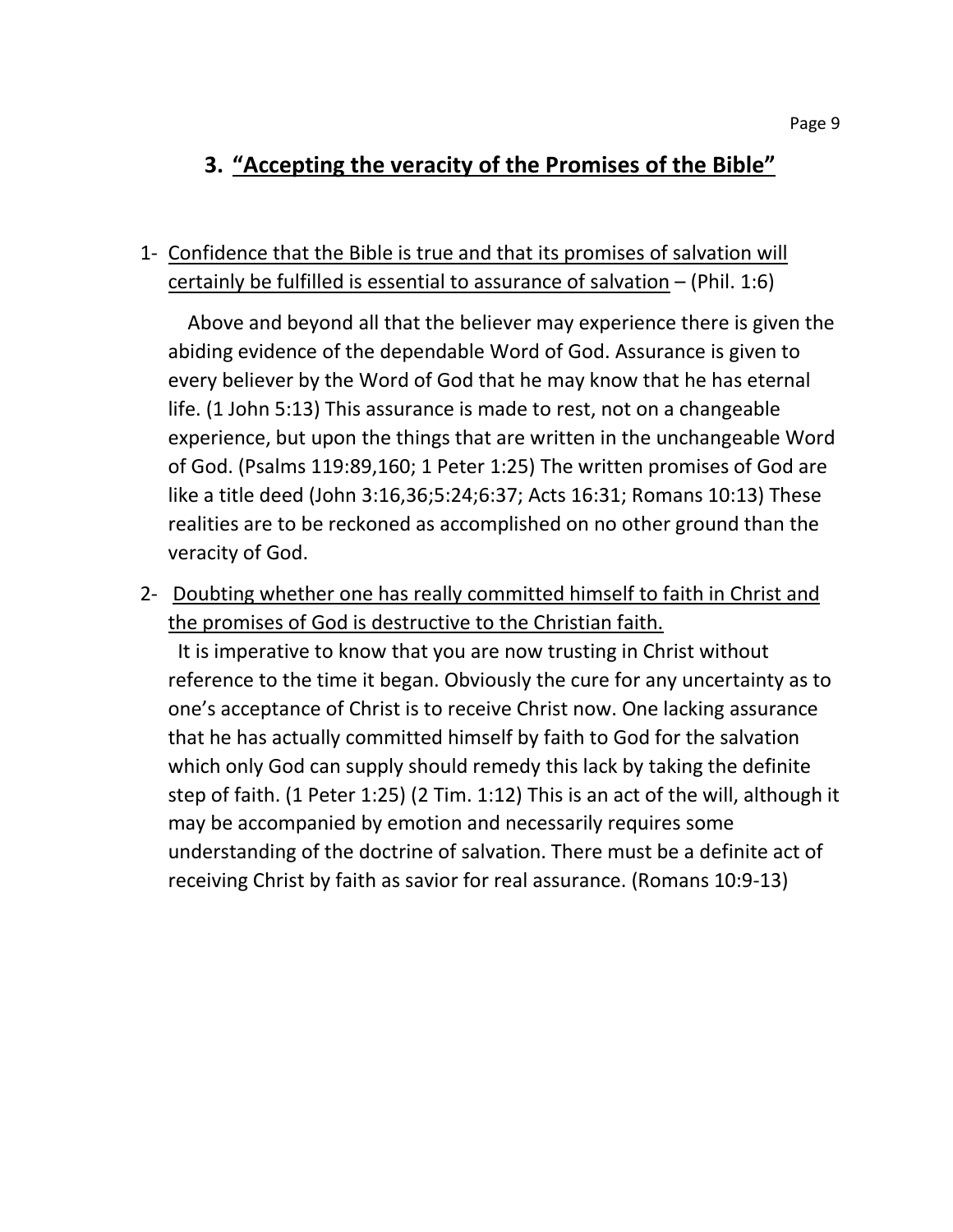# **3. "Accepting the veracity of the Promises of the Bible"**

### 1- Confidence that the Bible is true and that its promises of salvation will certainly be fulfilled is essential to assurance of salvation – (Phil. 1:6)

 Above and beyond all that the believer may experience there is given the abiding evidence of the dependable Word of God. Assurance is given to every believer by the Word of God that he may know that he has eternal life. (1 John 5:13) This assurance is made to rest, not on a changeable experience, but upon the things that are written in the unchangeable Word of God. (Psalms 119:89,160; 1 Peter 1:25) The written promises of God are like a title deed (John 3:16,36;5:24;6:37; Acts 16:31; Romans 10:13) These realities are to be reckoned as accomplished on no other ground than the veracity of God.

2- Doubting whether one has really committed himself to faith in Christ and the promises of God is destructive to the Christian faith.

 It is imperative to know that you are now trusting in Christ without reference to the time it began. Obviously the cure for any uncertainty as to one's acceptance of Christ is to receive Christ now. One lacking assurance that he has actually committed himself by faith to God for the salvation which only God can supply should remedy this lack by taking the definite step of faith. (1 Peter 1:25) (2 Tim. 1:12) This is an act of the will, although it may be accompanied by emotion and necessarily requires some understanding of the doctrine of salvation. There must be a definite act of receiving Christ by faith as savior for real assurance. (Romans 10:9-13)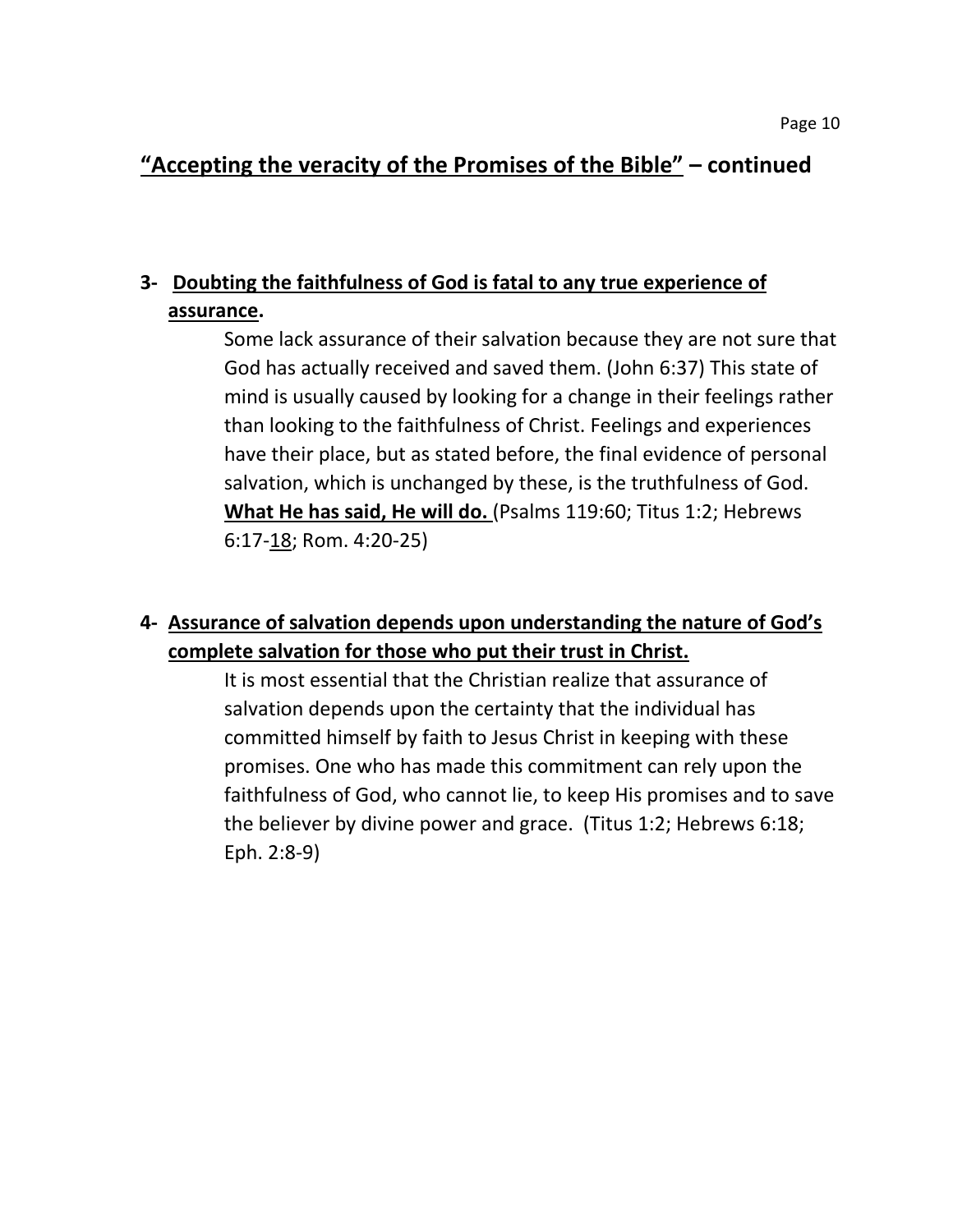## **"Accepting the veracity of the Promises of the Bible" – continued**

# **3- Doubting the faithfulness of God is fatal to any true experience of assurance.**

Some lack assurance of their salvation because they are not sure that God has actually received and saved them. (John 6:37) This state of mind is usually caused by looking for a change in their feelings rather than looking to the faithfulness of Christ. Feelings and experiences have their place, but as stated before, the final evidence of personal salvation, which is unchanged by these, is the truthfulness of God. **What He has said, He will do.** (Psalms 119:60; Titus 1:2; Hebrews 6:17-18; Rom. 4:20-25)

## **4- Assurance of salvation depends upon understanding the nature of God's complete salvation for those who put their trust in Christ.**

It is most essential that the Christian realize that assurance of salvation depends upon the certainty that the individual has committed himself by faith to Jesus Christ in keeping with these promises. One who has made this commitment can rely upon the faithfulness of God, who cannot lie, to keep His promises and to save the believer by divine power and grace. (Titus 1:2; Hebrews 6:18; Eph. 2:8-9)